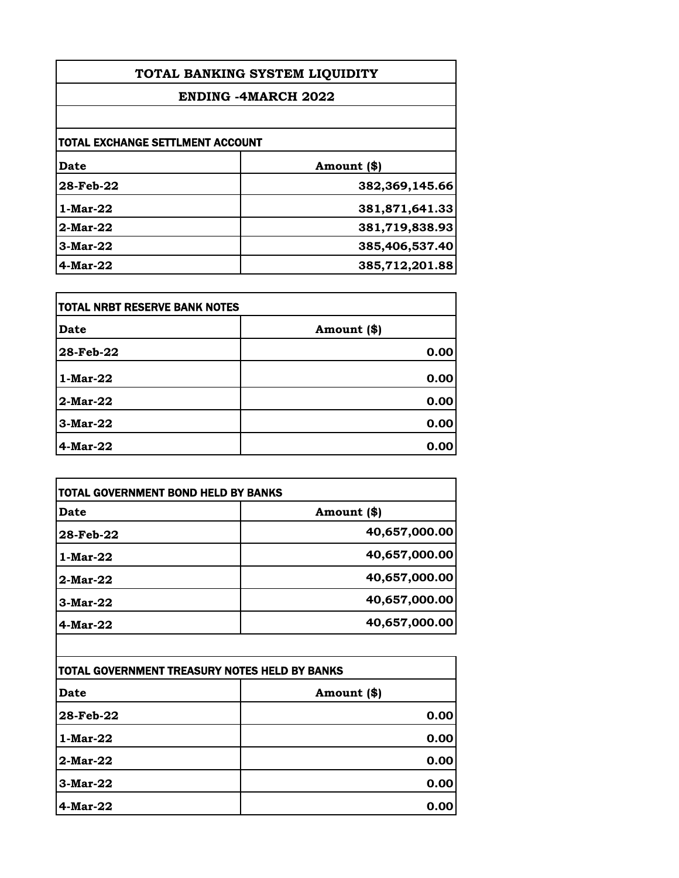| TOTAL BANKING SYSTEM LIQUIDITY<br><b>ENDING -4MARCH 2022</b><br>TOTAL EXCHANGE SETTLMENT ACCOUNT |                |             |                |
|--------------------------------------------------------------------------------------------------|----------------|-------------|----------------|
|                                                                                                  |                | <b>Date</b> | Amount (\$)    |
|                                                                                                  |                | 28-Feb-22   | 382,369,145.66 |
|                                                                                                  |                | $1-Mar-22$  | 381,871,641.33 |
| $2-Mar-22$                                                                                       | 381,719,838.93 |             |                |
| $3-Mar-22$                                                                                       | 385,406,537.40 |             |                |
| $4$ -Mar-22                                                                                      | 385,712,201.88 |             |                |

| TOTAL NRBT RESERVE BANK NOTES |             |
|-------------------------------|-------------|
| Date                          | Amount (\$) |
| 28-Feb-22                     | 0.00        |
| $1-Mar-22$                    | 0.00        |
| 2-Mar-22                      | 0.00        |
| $3-Mar-22$                    | 0.00        |
| $4$ -Mar-22                   | 0.00        |

| TOTAL GOVERNMENT BOND HELD BY BANKS |               |
|-------------------------------------|---------------|
| Date                                | Amount (\$)   |
| 28-Feb-22                           | 40,657,000.00 |
| 1-Mar-22                            | 40,657,000.00 |
| $2-Mar-22$                          | 40,657,000.00 |
| $3-Mar-22$                          | 40,657,000.00 |
| $4$ -Mar-22                         | 40,657,000.00 |

| TOTAL GOVERNMENT TREASURY NOTES HELD BY BANKS |             |
|-----------------------------------------------|-------------|
| Date                                          | Amount (\$) |
| 28-Feb-22                                     | 0.00        |
| 1-Mar-22                                      | 0.00        |
| $2-Mar-22$                                    | 0.00        |
| $3-Mar-22$                                    | 0.00        |
| $4$ -Mar-22                                   | 0.00        |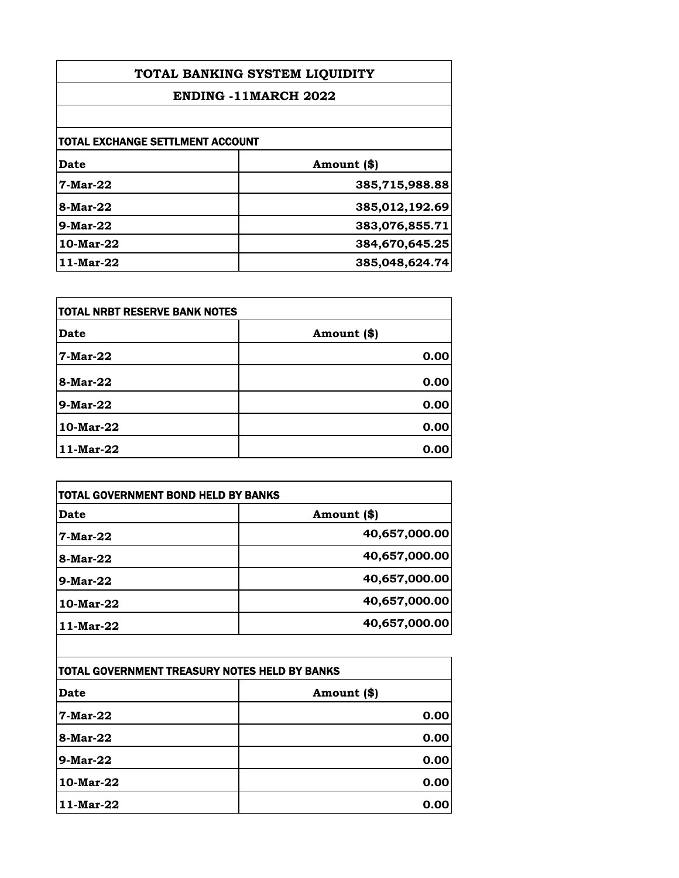| TOTAL BANKING SYSTEM LIQUIDITY<br><b>ENDING -11MARCH 2022</b> |                |                                         |             |
|---------------------------------------------------------------|----------------|-----------------------------------------|-------------|
|                                                               |                | <b>TOTAL EXCHANGE SETTLMENT ACCOUNT</b> |             |
|                                                               |                | <b>Date</b>                             | Amount (\$) |
| 7-Mar-22                                                      | 385,715,988.88 |                                         |             |
| 8-Mar-22                                                      | 385,012,192.69 |                                         |             |
| $9-Mar-22$                                                    | 383,076,855.71 |                                         |             |
| 10-Mar-22                                                     | 384,670,645.25 |                                         |             |
| 11-Mar-22                                                     | 385,048,624.74 |                                         |             |

| TOTAL NRBT RESERVE BANK NOTES |             |
|-------------------------------|-------------|
| Date                          | Amount (\$) |
| <b>7-Mar-22</b>               | 0.00        |
| 8-Mar-22                      | 0.00        |
| <b>9-Mar-22</b>               | 0.00        |
| 10-Mar-22                     | 0.00        |
| 11-Mar-22                     | 0.00        |

| TOTAL GOVERNMENT BOND HELD BY BANKS |               |
|-------------------------------------|---------------|
| Date                                | Amount (\$)   |
| <b>7-Mar-22</b>                     | 40,657,000.00 |
| 8-Mar-22                            | 40,657,000.00 |
| $9-Mar-22$                          | 40,657,000.00 |
| 10-Mar-22                           | 40,657,000.00 |
| 11-Mar-22                           | 40,657,000.00 |

| TOTAL GOVERNMENT TREASURY NOTES HELD BY BANKS |             |
|-----------------------------------------------|-------------|
| Date                                          | Amount (\$) |
| 7-Mar-22                                      | 0.00        |
| 8-Mar-22                                      | 0.00        |
| 9-Mar-22                                      | 0.00        |
| 10-Mar-22                                     | 0.00        |
| 11-Mar-22                                     | 0.00        |